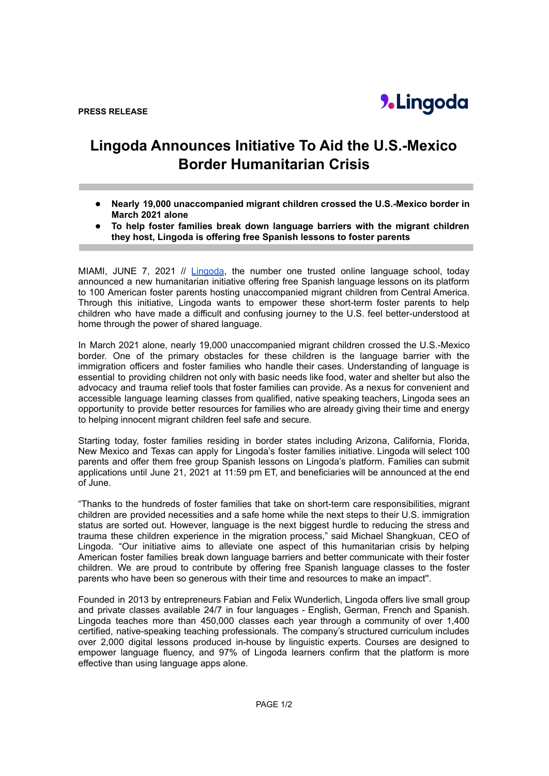## **Lingoda Announces Initiative To Aid the U.S.-Mexico Border Humanitarian Crisis**

- *●* **Nearly 19,000 unaccompanied migrant children crossed the U.S.-Mexico border in March 2021 alone**
- *●* **To help foster families break down language barriers with the migrant children they host, Lingoda is offering free Spanish lessons to foster parents**

MIAMI, JUNE 7, 2021 // [Lingoda](https://bit.ly/3oScpqN), the number one trusted online language school, today announced a new humanitarian initiative offering free Spanish language lessons on its platform to 100 American foster parents hosting unaccompanied migrant children from Central America. Through this initiative, Lingoda wants to empower these short-term foster parents to help children who have made a difficult and confusing journey to the U.S. feel better-understood at home through the power of shared language.

In March 2021 alone, nearly 19,000 unaccompanied migrant children crossed the U.S.-Mexico border. One of the primary obstacles for these children is the language barrier with the immigration officers and foster families who handle their cases. Understanding of language is essential to providing children not only with basic needs like food, water and shelter but also the advocacy and trauma relief tools that foster families can provide. As a nexus for convenient and accessible language learning classes from qualified, native speaking teachers, Lingoda sees an opportunity to provide better resources for families who are already giving their time and energy to helping innocent migrant children feel safe and secure.

Starting today, foster families residing in border states including Arizona, California, Florida, New Mexico and Texas can apply for Lingoda's foster families initiative. Lingoda will select 100 parents and offer them free group Spanish lessons on Lingoda's platform. Families can submit applications until June 21, 2021 at 11:59 pm ET, and beneficiaries will be announced at the end of June.

"Thanks to the hundreds of foster families that take on short-term care responsibilities, migrant children are provided necessities and a safe home while the next steps to their U.S. immigration status are sorted out. However, language is the next biggest hurdle to reducing the stress and trauma these children experience in the migration process," said Michael Shangkuan, CEO of Lingoda. "Our initiative aims to alleviate one aspect of this humanitarian crisis by helping American foster families break down language barriers and better communicate with their foster children. We are proud to contribute by offering free Spanish language classes to the foster parents who have been so generous with their time and resources to make an impact''.

Founded in 2013 by entrepreneurs Fabian and Felix Wunderlich, Lingoda offers live small group and private classes available 24/7 in four languages - English, German, French and Spanish. Lingoda teaches more than 450,000 classes each year through a community of over 1,400 certified, native-speaking teaching professionals. The company's structured curriculum includes over 2,000 digital lessons produced in-house by linguistic experts. Courses are designed to empower language fluency, and 97% of Lingoda learners confirm that the platform is more effective than using language apps alone.